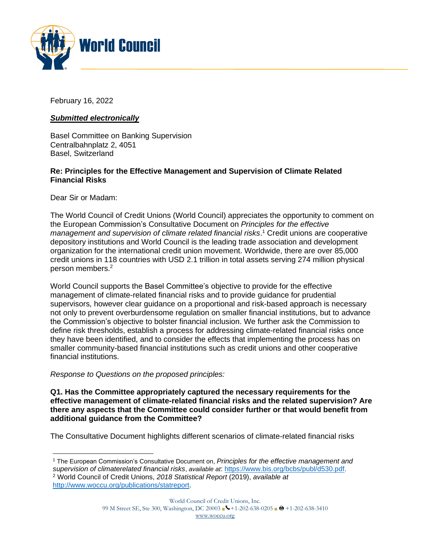

February 16, 2022

# *Submitted electronically*

Basel Committee on Banking Supervision Centralbahnplatz 2, 4051 Basel, Switzerland

### **Re: Principles for the Effective Management and Supervision of Climate Related Financial Risks**

Dear Sir or Madam:

The World Council of Credit Unions (World Council) appreciates the opportunity to comment on the European Commission's Consultative Document on *Principles for the effective management and supervision of climate related financial risks*. <sup>1</sup> Credit unions are cooperative depository institutions and World Council is the leading trade association and development organization for the international credit union movement. Worldwide, there are over 85,000 credit unions in 118 countries with USD 2.1 trillion in total assets serving 274 million physical person members.<sup>2</sup>

World Council supports the Basel Committee's objective to provide for the effective management of climate-related financial risks and to provide guidance for prudential supervisors, however clear guidance on a proportional and risk-based approach is necessary not only to prevent overburdensome regulation on smaller financial institutions, but to advance the Commission's objective to bolster financial inclusion. We further ask the Commission to define risk thresholds, establish a process for addressing climate-related financial risks once they have been identified, and to consider the effects that implementing the process has on smaller community-based financial institutions such as credit unions and other cooperative financial institutions.

## *Response to Questions on the proposed principles:*

**Q1. Has the Committee appropriately captured the necessary requirements for the effective management of climate-related financial risks and the related supervision? Are there any aspects that the Committee could consider further or that would benefit from additional guidance from the Committee?** 

The Consultative Document highlights different scenarios of climate-related financial risks

<sup>1</sup> The European Commission's Consultative Document on, *Principles for the effective management and supervision of climaterelated financial risks*, *available at*:<https://www.bis.org/bcbs/publ/d530.pdf>. <sup>2</sup> World Council of Credit Unions, *2018 Statistical Report* (2019), *available at* [http://www.woccu.org/publications/statreport.](http://www.woccu.org/publications/statreport)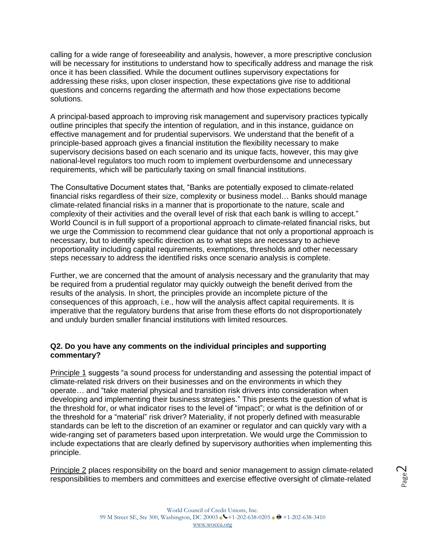calling for a wide range of foreseeability and analysis, however, a more prescriptive conclusion will be necessary for institutions to understand how to specifically address and manage the risk once it has been classified. While the document outlines supervisory expectations for addressing these risks, upon closer inspection, these expectations give rise to additional questions and concerns regarding the aftermath and how those expectations become solutions.

A principal-based approach to improving risk management and supervisory practices typically outline principles that specify the intention of regulation, and in this instance, guidance on effective management and for prudential supervisors. We understand that the benefit of a principle-based approach gives a financial institution the flexibility necessary to make supervisory decisions based on each scenario and its unique facts, however, this may give national-level regulators too much room to implement overburdensome and unnecessary requirements, which will be particularly taxing on small financial institutions.

The Consultative Document states that, "Banks are potentially exposed to climate-related financial risks regardless of their size, complexity or business model… Banks should manage climate-related financial risks in a manner that is proportionate to the nature, scale and complexity of their activities and the overall level of risk that each bank is willing to accept." World Council is in full support of a proportional approach to climate-related financial risks, but we urge the Commission to recommend clear guidance that not only a proportional approach is necessary, but to identify specific direction as to what steps are necessary to achieve proportionality including capital requirements, exemptions, thresholds and other necessary steps necessary to address the identified risks once scenario analysis is complete.

Further, we are concerned that the amount of analysis necessary and the granularity that may be required from a prudential regulator may quickly outweigh the benefit derived from the results of the analysis. In short, the principles provide an incomplete picture of the consequences of this approach, i.e., how will the analysis affect capital requirements. It is imperative that the regulatory burdens that arise from these efforts do not disproportionately and unduly burden smaller financial institutions with limited resources.

#### **Q2. Do you have any comments on the individual principles and supporting commentary?**

Principle 1 suggests "a sound process for understanding and assessing the potential impact of climate-related risk drivers on their businesses and on the environments in which they operate… and "take material physical and transition risk drivers into consideration when developing and implementing their business strategies." This presents the question of what is the threshold for, or what indicator rises to the level of "impact"; or what is the definition of or the threshold for a "material" risk driver? Materiality, if not properly defined with measurable standards can be left to the discretion of an examiner or regulator and can quickly vary with a wide-ranging set of parameters based upon interpretation. We would urge the Commission to include expectations that are clearly defined by supervisory authorities when implementing this principle.

Principle 2 places responsibility on the board and senior management to assign climate-related responsibilities to members and committees and exercise effective oversight of climate-related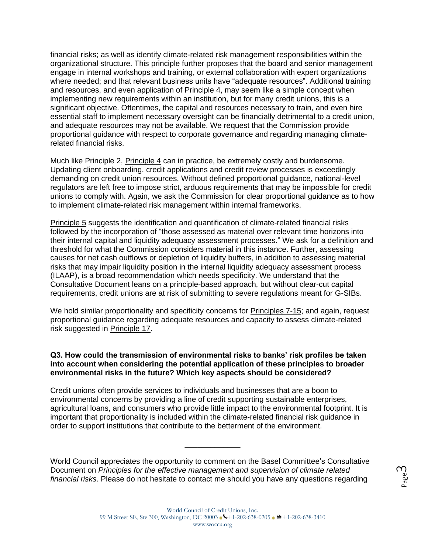financial risks; as well as identify climate-related risk management responsibilities within the organizational structure. This principle further proposes that the board and senior management engage in internal workshops and training, or external collaboration with expert organizations where needed; and that relevant business units have "adequate resources". Additional training and resources, and even application of Principle 4, may seem like a simple concept when implementing new requirements within an institution, but for many credit unions, this is a significant objective. Oftentimes, the capital and resources necessary to train, and even hire essential staff to implement necessary oversight can be financially detrimental to a credit union, and adequate resources may not be available. We request that the Commission provide proportional guidance with respect to corporate governance and regarding managing climaterelated financial risks.

Much like Principle 2, Principle 4 can in practice, be extremely costly and burdensome. Updating client onboarding, credit applications and credit review processes is exceedingly demanding on credit union resources. Without defined proportional guidance, national-level regulators are left free to impose strict, arduous requirements that may be impossible for credit unions to comply with. Again, we ask the Commission for clear proportional guidance as to how to implement climate-related risk management within internal frameworks.

Principle 5 suggests the identification and quantification of climate-related financial risks followed by the incorporation of "those assessed as material over relevant time horizons into their internal capital and liquidity adequacy assessment processes." We ask for a definition and threshold for what the Commission considers material in this instance. Further, assessing causes for net cash outflows or depletion of liquidity buffers, in addition to assessing material risks that may impair liquidity position in the internal liquidity adequacy assessment process (ILAAP), is a broad recommendation which needs specificity. We understand that the Consultative Document leans on a principle-based approach, but without clear-cut capital requirements, credit unions are at risk of submitting to severe regulations meant for G-SIBs.

We hold similar proportionality and specificity concerns for Principles 7-15; and again, request proportional guidance regarding adequate resources and capacity to assess climate-related risk suggested in Principle 17.

#### **Q3. How could the transmission of environmental risks to banks' risk profiles be taken into account when considering the potential application of these principles to broader environmental risks in the future? Which key aspects should be considered?**

Credit unions often provide services to individuals and businesses that are a boon to environmental concerns by providing a line of credit supporting sustainable enterprises, agricultural loans, and consumers who provide little impact to the environmental footprint. It is important that proportionality is included within the climate-related financial risk guidance in order to support institutions that contribute to the betterment of the environment.

World Council appreciates the opportunity to comment on the Basel Committee's Consultative Document on *Principles for the effective management and supervision of climate related financial risks*. Please do not hesitate to contact me should you have any questions regarding

\_\_\_\_\_\_\_\_\_\_\_\_\_